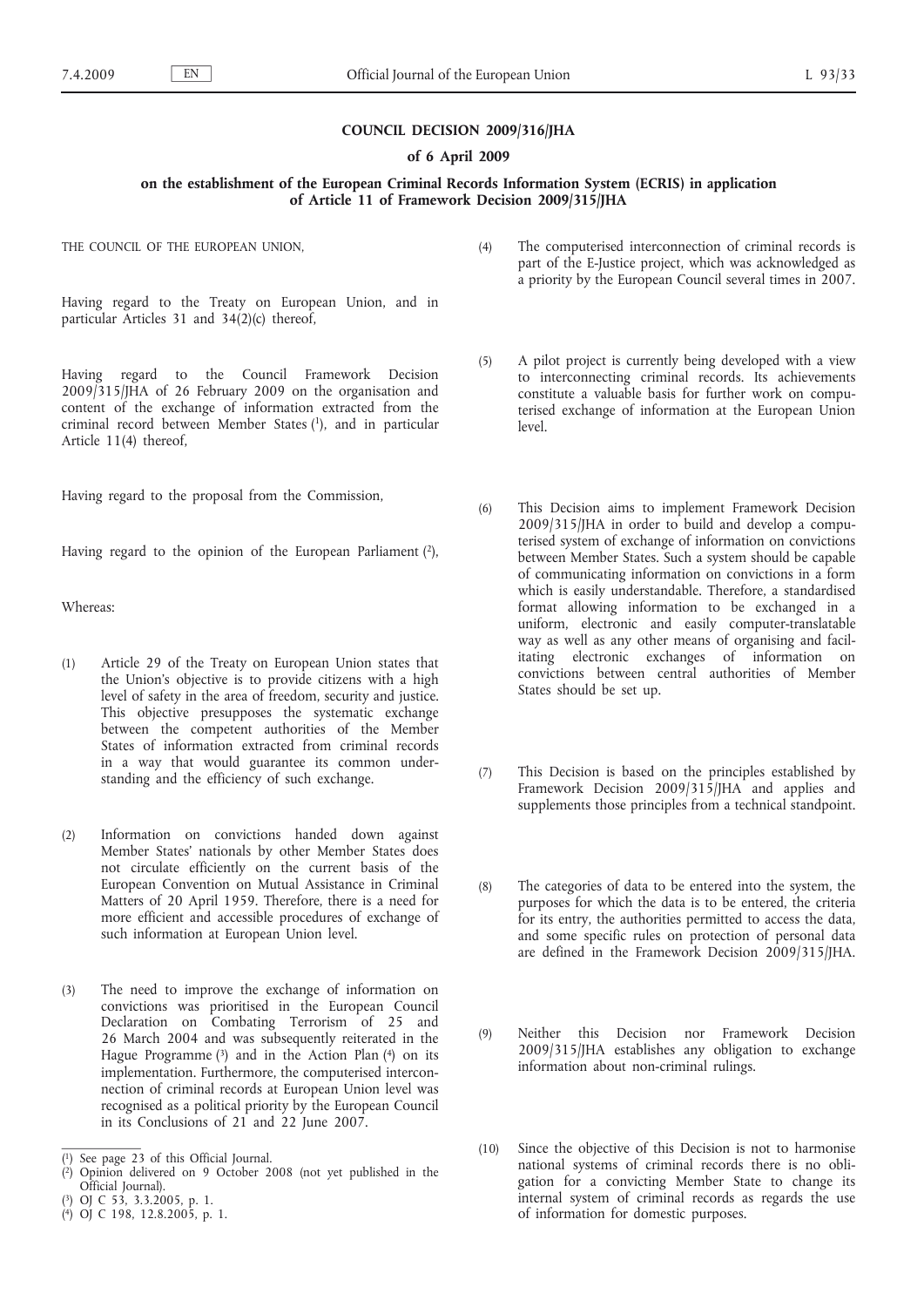## **COUNCIL DECISION 2009/316/JHA**

## **of 6 April 2009**

# **on the establishment of the European Criminal Records Information System (ECRIS) in application of Article 11 of Framework Decision 2009/315/JHA**

THE COUNCIL OF THE EUROPEAN UNION,

Having regard to the Treaty on European Union, and in particular Articles 31 and 34(2)(c) thereof,

Having regard to the Council Framework Decision 2009/315/JHA of 26 February 2009 on the organisation and content of the exchange of information extracted from the criminal record between Member States (1), and in particular Article 11(4) thereof,

Having regard to the proposal from the Commission,

Having regard to the opinion of the European Parliament (2),

Whereas:

- (1) Article 29 of the Treaty on European Union states that the Union's objective is to provide citizens with a high level of safety in the area of freedom, security and justice. This objective presupposes the systematic exchange between the competent authorities of the Member States of information extracted from criminal records in a way that would guarantee its common understanding and the efficiency of such exchange.
- (2) Information on convictions handed down against Member States' nationals by other Member States does not circulate efficiently on the current basis of the European Convention on Mutual Assistance in Criminal Matters of 20 April 1959. Therefore, there is a need for more efficient and accessible procedures of exchange of such information at European Union level.
- (3) The need to improve the exchange of information on convictions was prioritised in the European Council Declaration on Combating Terrorism of 25 and 26 March 2004 and was subsequently reiterated in the Hague Programme  $(3)$  and in the Action Plan  $(4)$  on its implementation. Furthermore, the computerised interconnection of criminal records at European Union level was recognised as a political priority by the European Council in its Conclusions of 21 and 22 June 2007.

- ( 3) OJ C 53, 3.3.2005, p. 1.
- ( 4) OJ C 198, 12.8.2005, p. 1.
- (4) The computerised interconnection of criminal records is part of the E-Justice project, which was acknowledged as a priority by the European Council several times in 2007.
- (5) A pilot project is currently being developed with a view to interconnecting criminal records. Its achievements constitute a valuable basis for further work on computerised exchange of information at the European Union level.
- (6) This Decision aims to implement Framework Decision 2009/315/JHA in order to build and develop a computerised system of exchange of information on convictions between Member States. Such a system should be capable of communicating information on convictions in a form which is easily understandable. Therefore, a standardised format allowing information to be exchanged in a uniform, electronic and easily computer-translatable way as well as any other means of organising and facilitating electronic exchanges of information on convictions between central authorities of Member States should be set up.
- (7) This Decision is based on the principles established by Framework Decision 2009/315/JHA and applies and supplements those principles from a technical standpoint.
- (8) The categories of data to be entered into the system, the purposes for which the data is to be entered, the criteria for its entry, the authorities permitted to access the data, and some specific rules on protection of personal data are defined in the Framework Decision 2009/315/JHA.
- (9) Neither this Decision nor Framework Decision 2009/315/JHA establishes any obligation to exchange information about non-criminal rulings.
- (10) Since the objective of this Decision is not to harmonise national systems of criminal records there is no obligation for a convicting Member State to change its internal system of criminal records as regards the use of information for domestic purposes.

<sup>(</sup> 1) See page 23 of this Official Journal.

<sup>(</sup> 2) Opinion delivered on 9 October 2008 (not yet published in the Official Journal).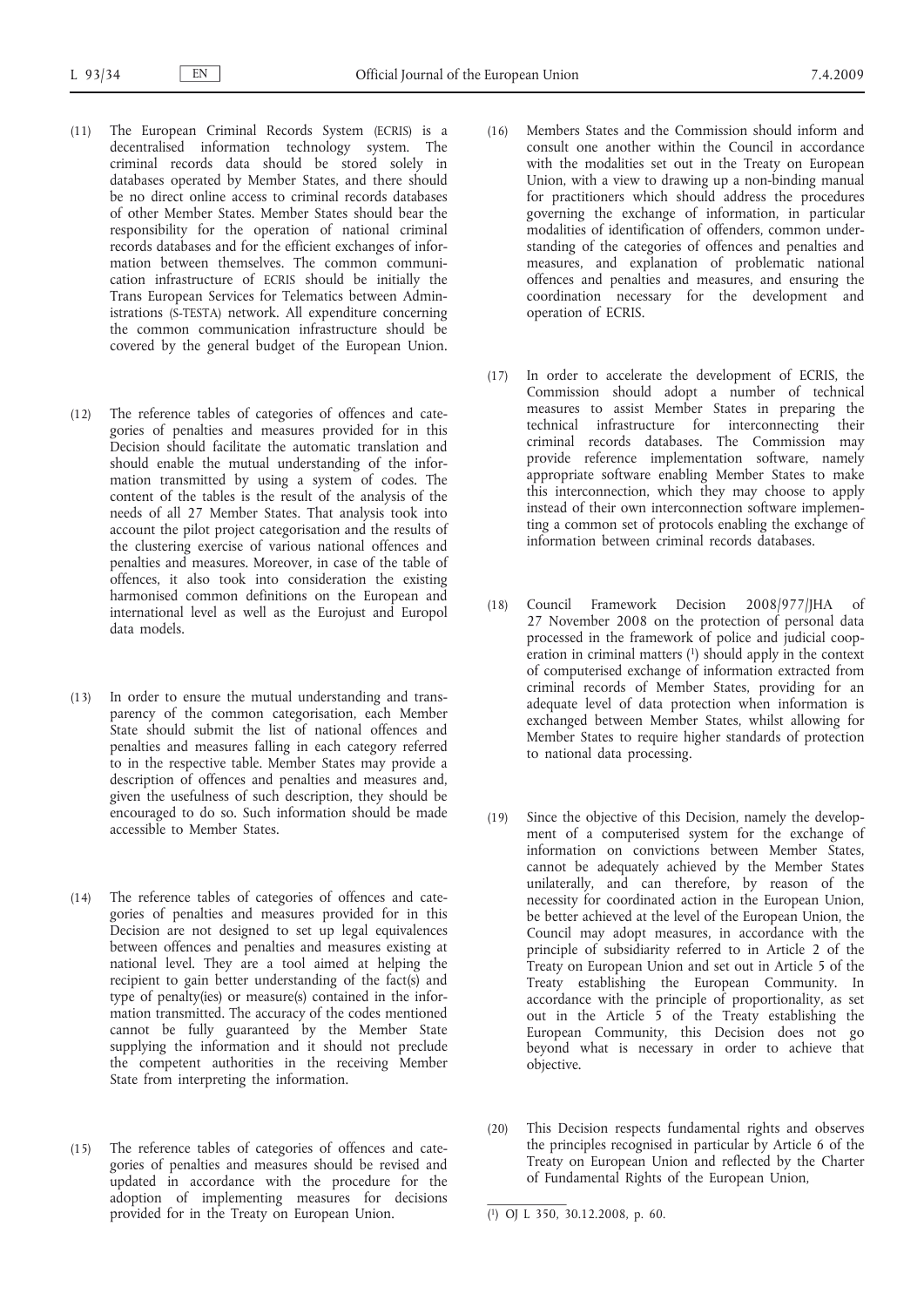- (11) The European Criminal Records System (ECRIS) is a decentralised information technology system. The criminal records data should be stored solely in databases operated by Member States, and there should be no direct online access to criminal records databases of other Member States. Member States should bear the responsibility for the operation of national criminal records databases and for the efficient exchanges of information between themselves. The common communication infrastructure of ECRIS should be initially the Trans European Services for Telematics between Administrations (S-TESTA) network. All expenditure concerning the common communication infrastructure should be covered by the general budget of the European Union.
- (12) The reference tables of categories of offences and categories of penalties and measures provided for in this Decision should facilitate the automatic translation and should enable the mutual understanding of the information transmitted by using a system of codes. The content of the tables is the result of the analysis of the needs of all 27 Member States. That analysis took into account the pilot project categorisation and the results of the clustering exercise of various national offences and penalties and measures. Moreover, in case of the table of offences, it also took into consideration the existing harmonised common definitions on the European and international level as well as the Eurojust and Europol data models.
- (13) In order to ensure the mutual understanding and transparency of the common categorisation, each Member State should submit the list of national offences and penalties and measures falling in each category referred to in the respective table. Member States may provide a description of offences and penalties and measures and, given the usefulness of such description, they should be encouraged to do so. Such information should be made accessible to Member States.
- (14) The reference tables of categories of offences and categories of penalties and measures provided for in this Decision are not designed to set up legal equivalences between offences and penalties and measures existing at national level. They are a tool aimed at helping the recipient to gain better understanding of the fact(s) and type of penalty(ies) or measure(s) contained in the information transmitted. The accuracy of the codes mentioned cannot be fully guaranteed by the Member State supplying the information and it should not preclude the competent authorities in the receiving Member State from interpreting the information.
- (15) The reference tables of categories of offences and categories of penalties and measures should be revised and updated in accordance with the procedure for the adoption of implementing measures for decisions provided for in the Treaty on European Union.
- (16) Members States and the Commission should inform and consult one another within the Council in accordance with the modalities set out in the Treaty on European Union, with a view to drawing up a non-binding manual for practitioners which should address the procedures governing the exchange of information, in particular modalities of identification of offenders, common understanding of the categories of offences and penalties and measures, and explanation of problematic national offences and penalties and measures, and ensuring the coordination necessary for the development and operation of ECRIS.
- (17) In order to accelerate the development of ECRIS, the Commission should adopt a number of technical measures to assist Member States in preparing the technical infrastructure for interconnecting their criminal records databases. The Commission may provide reference implementation software, namely appropriate software enabling Member States to make this interconnection, which they may choose to apply instead of their own interconnection software implementing a common set of protocols enabling the exchange of information between criminal records databases.
- (18) Council Framework Decision 2008/977/JHA of 27 November 2008 on the protection of personal data processed in the framework of police and judicial cooperation in criminal matters  $(1)$  should apply in the context of computerised exchange of information extracted from criminal records of Member States, providing for an adequate level of data protection when information is exchanged between Member States, whilst allowing for Member States to require higher standards of protection to national data processing.
- (19) Since the objective of this Decision, namely the development of a computerised system for the exchange of information on convictions between Member States, cannot be adequately achieved by the Member States unilaterally, and can therefore, by reason of the necessity for coordinated action in the European Union, be better achieved at the level of the European Union, the Council may adopt measures, in accordance with the principle of subsidiarity referred to in Article 2 of the Treaty on European Union and set out in Article 5 of the Treaty establishing the European Community. In accordance with the principle of proportionality, as set out in the Article 5 of the Treaty establishing the European Community, this Decision does not go beyond what is necessary in order to achieve that objective.
- (20) This Decision respects fundamental rights and observes the principles recognised in particular by Article 6 of the Treaty on European Union and reflected by the Charter of Fundamental Rights of the European Union,

<sup>(</sup> 1) OJ L 350, 30.12.2008, p. 60.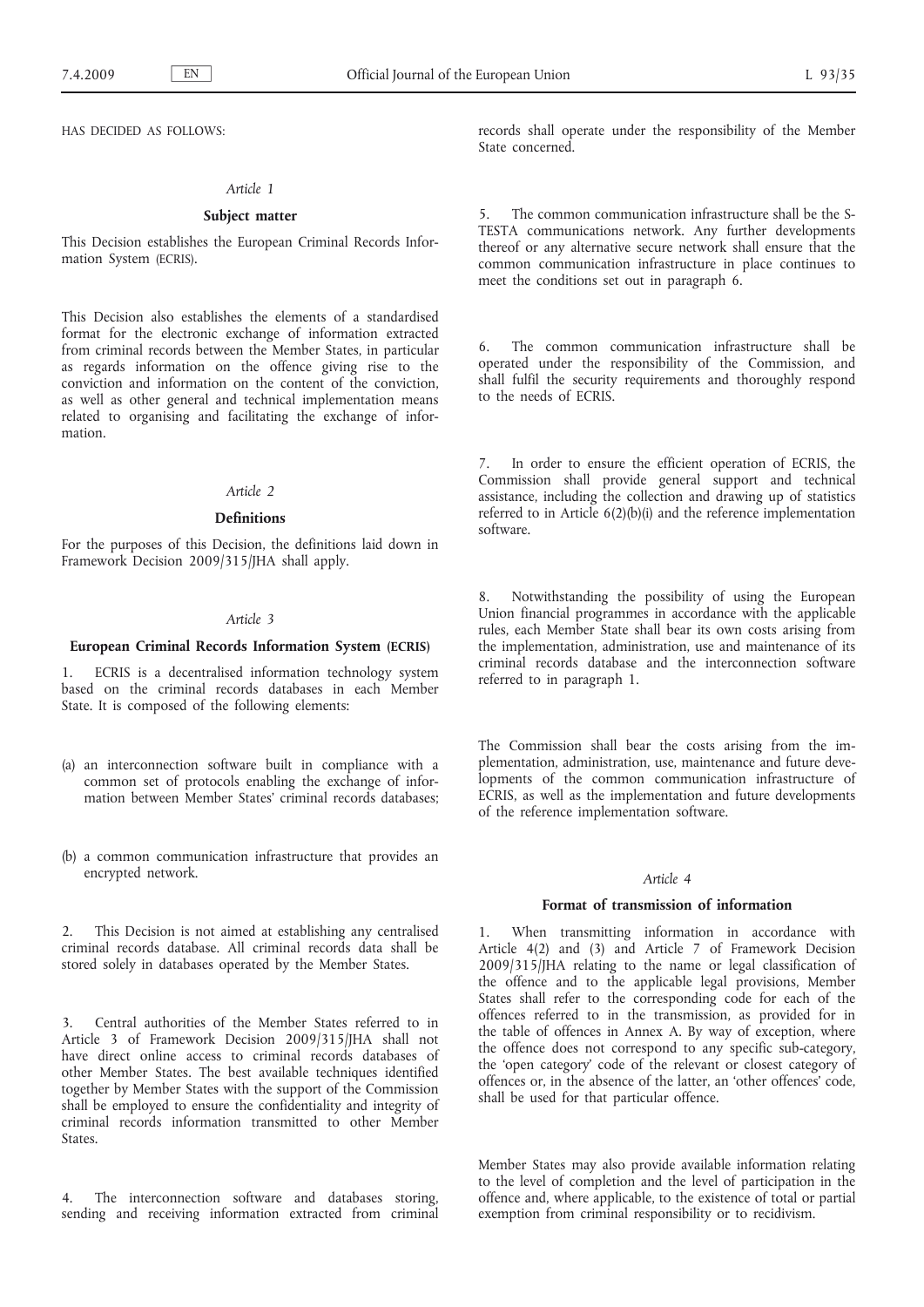HAS DECIDED AS FOLLOWS:

# *Article 1*

# **Subject matter**

This Decision establishes the European Criminal Records Information System (ECRIS).

This Decision also establishes the elements of a standardised format for the electronic exchange of information extracted from criminal records between the Member States, in particular as regards information on the offence giving rise to the conviction and information on the content of the conviction, as well as other general and technical implementation means related to organising and facilitating the exchange of information.

## *Article 2*

### **Definitions**

For the purposes of this Decision, the definitions laid down in Framework Decision 2009/315/JHA shall apply.

### *Article 3*

### **European Criminal Records Information System (ECRIS)**

1. ECRIS is a decentralised information technology system based on the criminal records databases in each Member State. It is composed of the following elements:

- (a) an interconnection software built in compliance with a common set of protocols enabling the exchange of information between Member States' criminal records databases;
- (b) a common communication infrastructure that provides an encrypted network.

This Decision is not aimed at establishing any centralised criminal records database. All criminal records data shall be stored solely in databases operated by the Member States.

3. Central authorities of the Member States referred to in Article 3 of Framework Decision 2009/315/JHA shall not have direct online access to criminal records databases of other Member States. The best available techniques identified together by Member States with the support of the Commission shall be employed to ensure the confidentiality and integrity of criminal records information transmitted to other Member **States**.

4. The interconnection software and databases storing, sending and receiving information extracted from criminal records shall operate under the responsibility of the Member State concerned.

5. The common communication infrastructure shall be the S-TESTA communications network. Any further developments thereof or any alternative secure network shall ensure that the common communication infrastructure in place continues to meet the conditions set out in paragraph 6.

6. The common communication infrastructure shall be operated under the responsibility of the Commission, and shall fulfil the security requirements and thoroughly respond to the needs of ECRIS.

7. In order to ensure the efficient operation of ECRIS, the Commission shall provide general support and technical assistance, including the collection and drawing up of statistics referred to in Article 6(2)(b)(i) and the reference implementation software.

8. Notwithstanding the possibility of using the European Union financial programmes in accordance with the applicable rules, each Member State shall bear its own costs arising from the implementation, administration, use and maintenance of its criminal records database and the interconnection software referred to in paragraph 1.

The Commission shall bear the costs arising from the implementation, administration, use, maintenance and future developments of the common communication infrastructure of ECRIS, as well as the implementation and future developments of the reference implementation software.

# *Article 4*

#### **Format of transmission of information**

1. When transmitting information in accordance with Article 4(2) and (3) and Article 7 of Framework Decision 2009/315/JHA relating to the name or legal classification of the offence and to the applicable legal provisions, Member States shall refer to the corresponding code for each of the offences referred to in the transmission, as provided for in the table of offences in Annex A. By way of exception, where the offence does not correspond to any specific sub-category, the 'open category' code of the relevant or closest category of offences or, in the absence of the latter, an 'other offences' code, shall be used for that particular offence.

Member States may also provide available information relating to the level of completion and the level of participation in the offence and, where applicable, to the existence of total or partial exemption from criminal responsibility or to recidivism.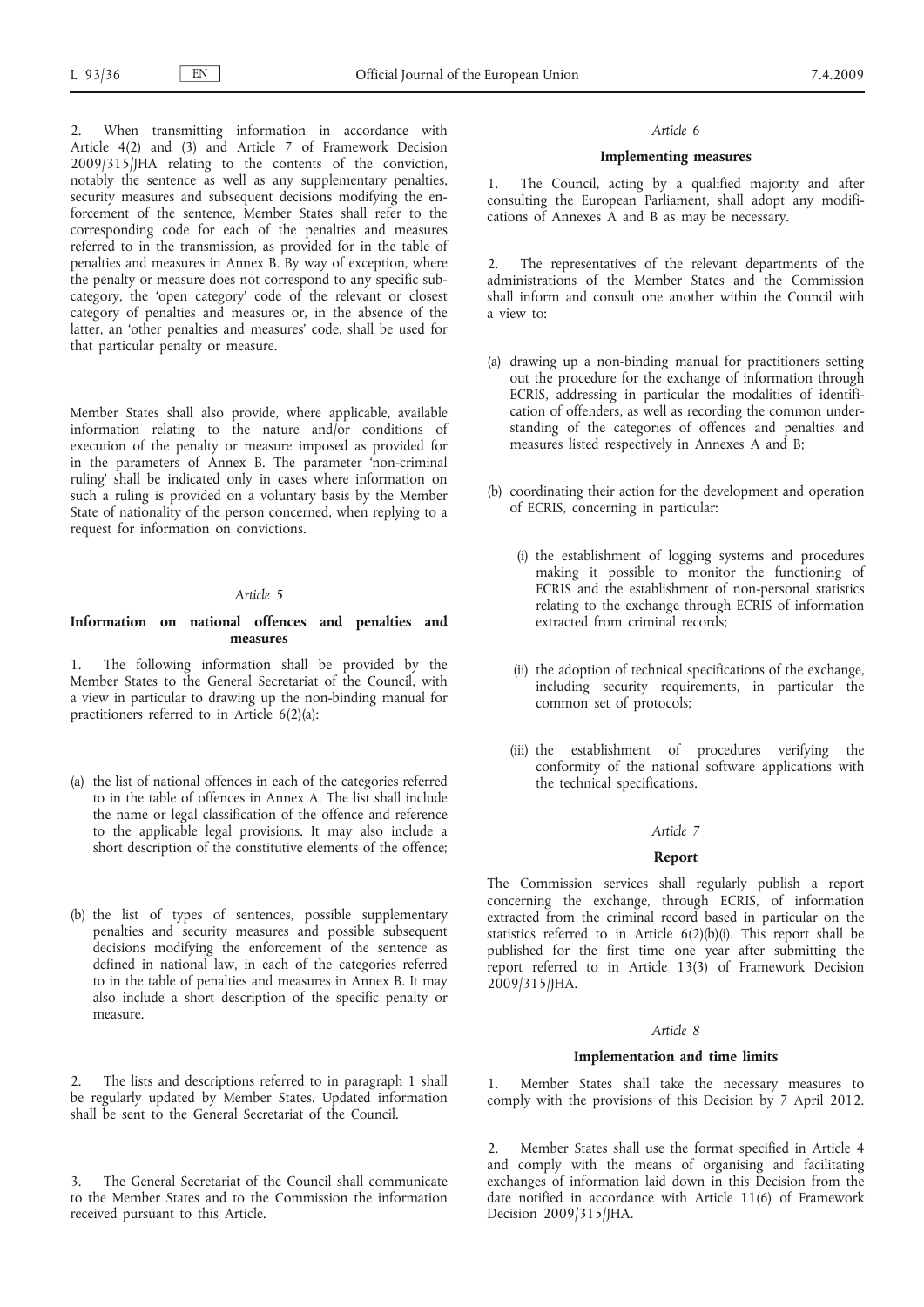When transmitting information in accordance with Article 4(2) and (3) and Article 7 of Framework Decision 2009/315/JHA relating to the contents of the conviction, notably the sentence as well as any supplementary penalties, security measures and subsequent decisions modifying the enforcement of the sentence, Member States shall refer to the corresponding code for each of the penalties and measures referred to in the transmission, as provided for in the table of penalties and measures in Annex B. By way of exception, where the penalty or measure does not correspond to any specific subcategory, the 'open category' code of the relevant or closest category of penalties and measures or, in the absence of the latter, an 'other penalties and measures' code, shall be used for that particular penalty or measure.

Member States shall also provide, where applicable, available information relating to the nature and/or conditions of execution of the penalty or measure imposed as provided for in the parameters of Annex B. The parameter 'non-criminal ruling' shall be indicated only in cases where information on such a ruling is provided on a voluntary basis by the Member State of nationality of the person concerned, when replying to a request for information on convictions.

## *Article 5*

## **Information on national offences and penalties and measures**

1. The following information shall be provided by the Member States to the General Secretariat of the Council, with a view in particular to drawing up the non-binding manual for practitioners referred to in Article 6(2)(a):

- (a) the list of national offences in each of the categories referred to in the table of offences in Annex A. The list shall include the name or legal classification of the offence and reference to the applicable legal provisions. It may also include a short description of the constitutive elements of the offence;
- (b) the list of types of sentences, possible supplementary penalties and security measures and possible subsequent decisions modifying the enforcement of the sentence as defined in national law, in each of the categories referred to in the table of penalties and measures in Annex B. It may also include a short description of the specific penalty or measure.

2. The lists and descriptions referred to in paragraph 1 shall be regularly updated by Member States. Updated information shall be sent to the General Secretariat of the Council.

3. The General Secretariat of the Council shall communicate to the Member States and to the Commission the information received pursuant to this Article.

#### *Article 6*

# **Implementing measures**

1. The Council, acting by a qualified majority and after consulting the European Parliament, shall adopt any modifications of Annexes A and B as may be necessary.

2. The representatives of the relevant departments of the administrations of the Member States and the Commission shall inform and consult one another within the Council with a view to:

- (a) drawing up a non-binding manual for practitioners setting out the procedure for the exchange of information through ECRIS, addressing in particular the modalities of identification of offenders, as well as recording the common understanding of the categories of offences and penalties and measures listed respectively in Annexes A and B;
- (b) coordinating their action for the development and operation of ECRIS, concerning in particular:
	- (i) the establishment of logging systems and procedures making it possible to monitor the functioning of ECRIS and the establishment of non-personal statistics relating to the exchange through ECRIS of information extracted from criminal records;
	- (ii) the adoption of technical specifications of the exchange, including security requirements, in particular the common set of protocols;
	- (iii) the establishment of procedures verifying the conformity of the national software applications with the technical specifications.

#### *Article 7*

### **Report**

The Commission services shall regularly publish a report concerning the exchange, through ECRIS, of information extracted from the criminal record based in particular on the statistics referred to in Article  $6(2)(b)(i)$ . This report shall be published for the first time one year after submitting the report referred to in Article 13(3) of Framework Decision  $2009/315$  JHA.

### *Article 8*

### **Implementation and time limits**

1. Member States shall take the necessary measures to comply with the provisions of this Decision by 7 April 2012.

2. Member States shall use the format specified in Article 4 and comply with the means of organising and facilitating exchanges of information laid down in this Decision from the date notified in accordance with Article 11(6) of Framework Decision 2009/315/JHA.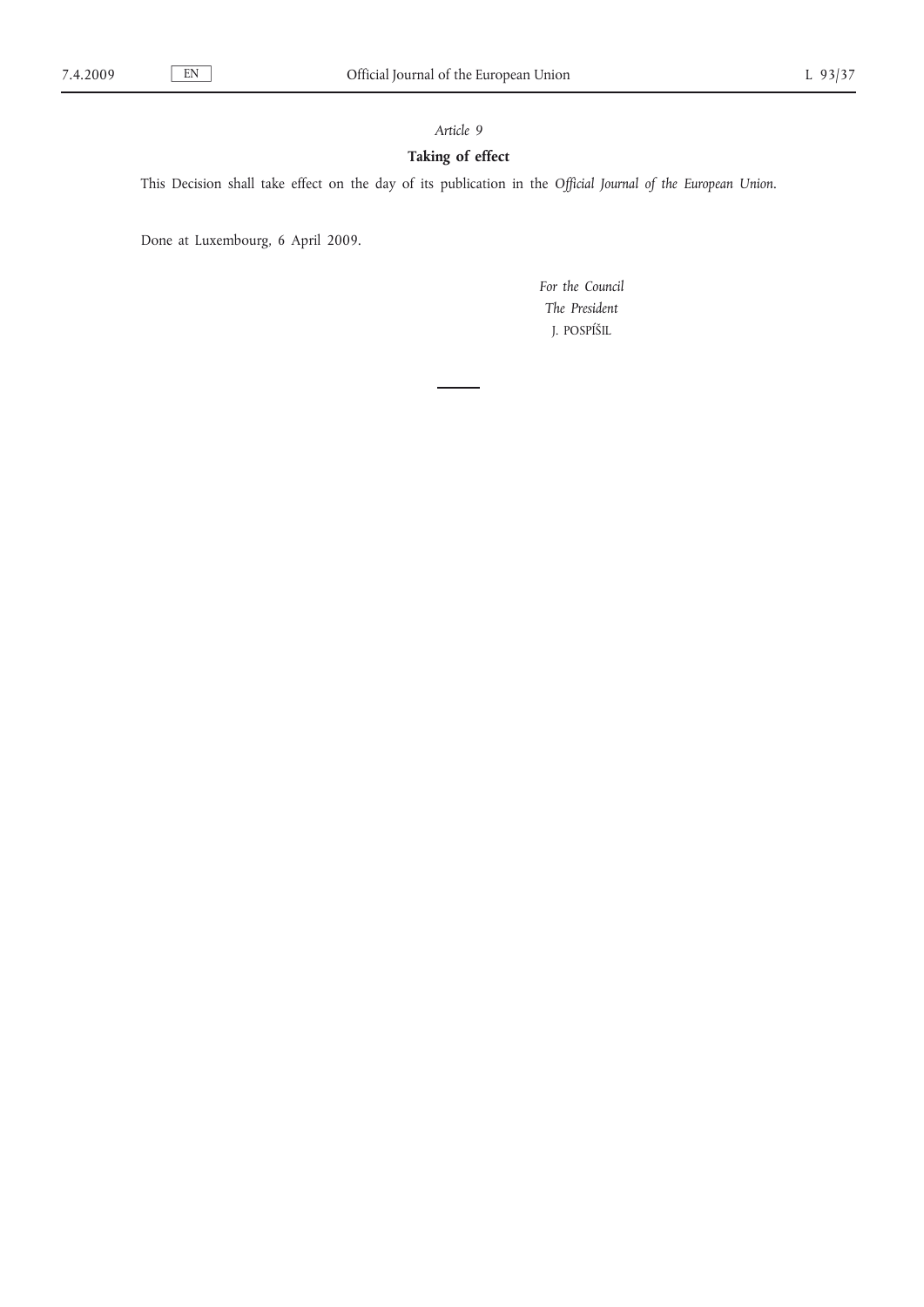# *Article 9*

# **Taking of effect**

This Decision shall take effect on the day of its publication in the *Official Journal of the European Union*.

Done at Luxembourg, 6 April 2009.

*For the Council The President* J. POSPÍŠIL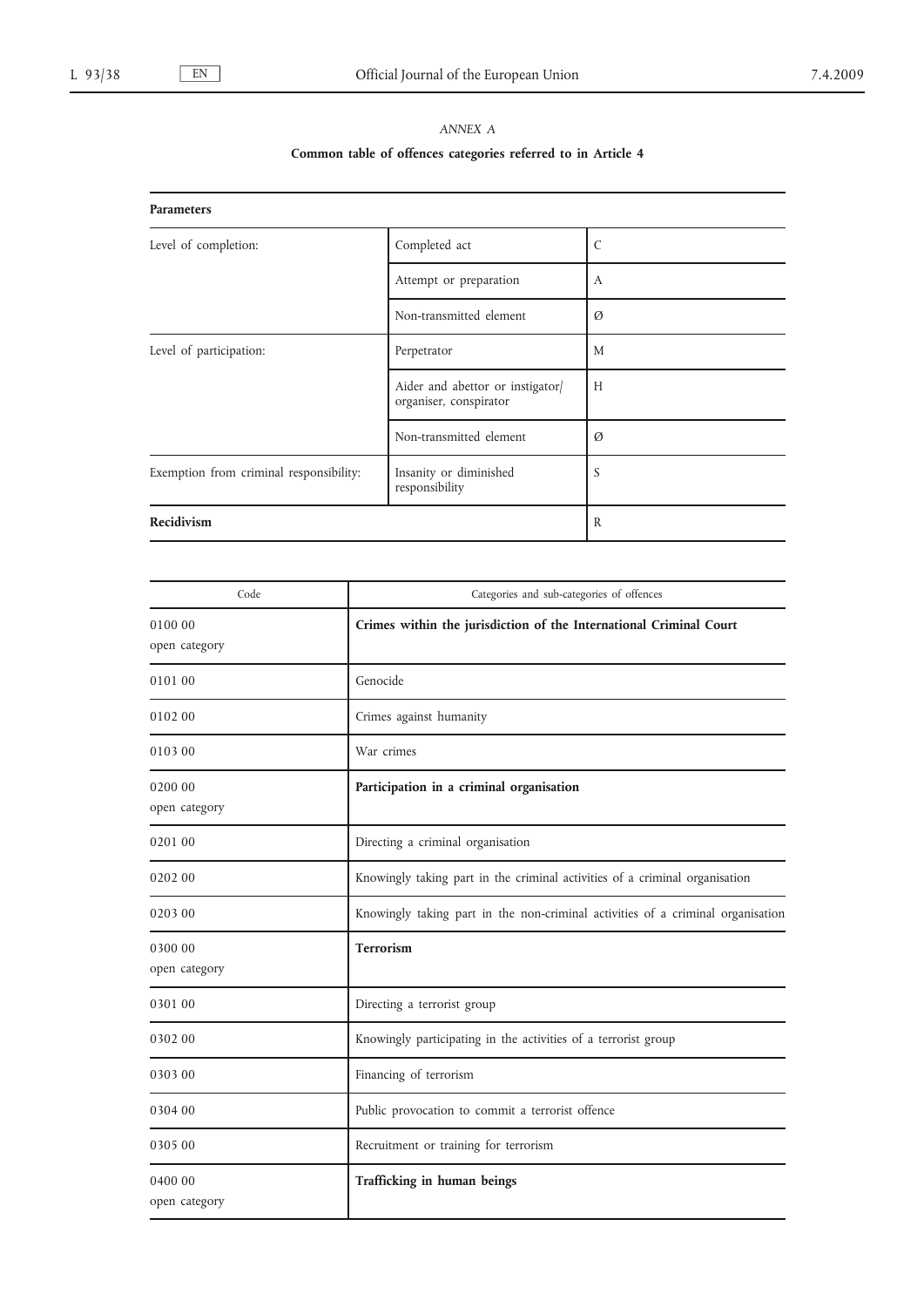| e e |  |
|-----|--|
|-----|--|

# **Common table of offences categories referred to in Article 4**

| <b>Parameters</b>                       |                                                            |               |
|-----------------------------------------|------------------------------------------------------------|---------------|
| Level of completion:                    | Completed act                                              | $\mathcal{C}$ |
|                                         | Attempt or preparation                                     | $\mathbf{A}$  |
|                                         | Non-transmitted element                                    | Ø             |
| Level of participation:                 | Perpetrator                                                | M             |
|                                         | Aider and abettor or instigator/<br>organiser, conspirator | H             |
|                                         | Non-transmitted element                                    | Ø             |
| Exemption from criminal responsibility: | Insanity or diminished<br>responsibility                   | S             |
| Recidivism                              |                                                            | R             |

| Code                     | Categories and sub-categories of offences                                       |
|--------------------------|---------------------------------------------------------------------------------|
| 0100 00<br>open category | Crimes within the jurisdiction of the International Criminal Court              |
| 0101 00                  | Genocide                                                                        |
| 0102 00                  | Crimes against humanity                                                         |
| 0103 00                  | War crimes                                                                      |
| 0200 00<br>open category | Participation in a criminal organisation                                        |
| 0201 00                  | Directing a criminal organisation                                               |
| 0202 00                  | Knowingly taking part in the criminal activities of a criminal organisation     |
| 0203 00                  | Knowingly taking part in the non-criminal activities of a criminal organisation |
| 0300 00<br>open category | Terrorism                                                                       |
| 0301 00                  | Directing a terrorist group                                                     |
| 0302 00                  | Knowingly participating in the activities of a terrorist group                  |
| 0303 00                  | Financing of terrorism                                                          |
| 0304 00                  | Public provocation to commit a terrorist offence                                |
| 0305 00                  | Recruitment or training for terrorism                                           |
| 0400 00<br>open category | Trafficking in human beings                                                     |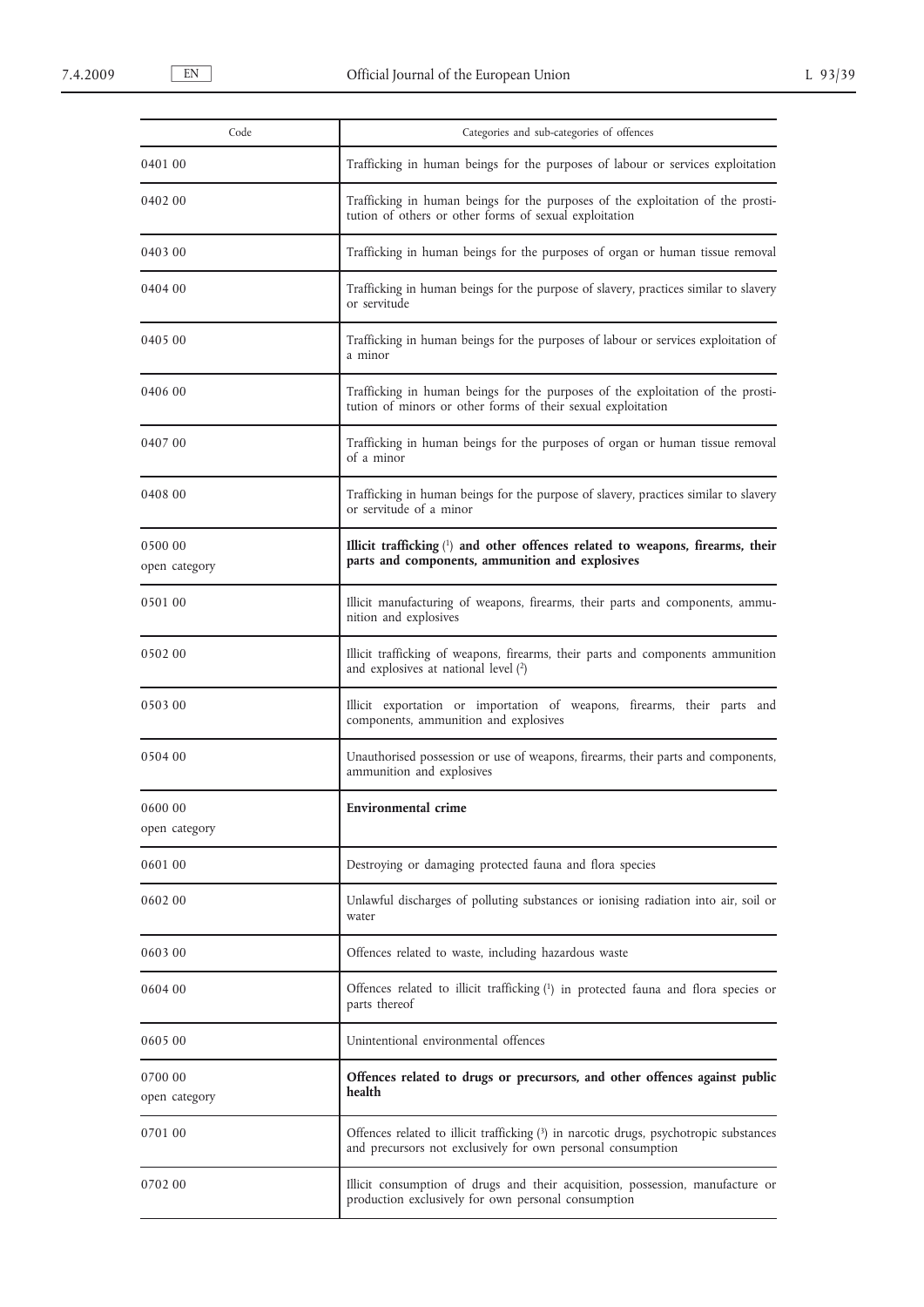| Code                     | Categories and sub-categories of offences                                                                                                             |
|--------------------------|-------------------------------------------------------------------------------------------------------------------------------------------------------|
| 0401 00                  | Trafficking in human beings for the purposes of labour or services exploitation                                                                       |
| 0402 00                  | Trafficking in human beings for the purposes of the exploitation of the prosti-<br>tution of others or other forms of sexual exploitation             |
| 0403 00                  | Trafficking in human beings for the purposes of organ or human tissue removal                                                                         |
| 0404 00                  | Trafficking in human beings for the purpose of slavery, practices similar to slavery<br>or servitude                                                  |
| 0405 00                  | Trafficking in human beings for the purposes of labour or services exploitation of<br>a minor                                                         |
| 0406 00                  | Trafficking in human beings for the purposes of the exploitation of the prosti-<br>tution of minors or other forms of their sexual exploitation       |
| 0407 00                  | Trafficking in human beings for the purposes of organ or human tissue removal<br>of a minor                                                           |
| 0408 00                  | Trafficking in human beings for the purpose of slavery, practices similar to slavery<br>or servitude of a minor                                       |
| 0500 00<br>open category | Illicit trafficking $(1)$ and other offences related to weapons, firearms, their<br>parts and components, ammunition and explosives                   |
| 0501 00                  | Illicit manufacturing of weapons, firearms, their parts and components, ammu-<br>nition and explosives                                                |
| 0502 00                  | Illicit trafficking of weapons, firearms, their parts and components ammunition<br>and explosives at national level (2)                               |
| 0503 00                  | Illicit exportation or importation of weapons, firearms, their parts and<br>components, ammunition and explosives                                     |
| 0504 00                  | Unauthorised possession or use of weapons, firearms, their parts and components,<br>ammunition and explosives                                         |
| 0600 00<br>open category | <b>Environmental crime</b>                                                                                                                            |
| 0601 00                  | Destroying or damaging protected fauna and flora species                                                                                              |
| 0602 00                  | Unlawful discharges of polluting substances or ionising radiation into air, soil or<br>water                                                          |
| 0603 00                  | Offences related to waste, including hazardous waste                                                                                                  |
| 0604 00                  | Offences related to illicit trafficking (1) in protected fauna and flora species or<br>parts thereof                                                  |
| 0605 00                  | Unintentional environmental offences                                                                                                                  |
| 0700 00<br>open category | Offences related to drugs or precursors, and other offences against public<br>health                                                                  |
| 0701 00                  | Offences related to illicit trafficking (3) in narcotic drugs, psychotropic substances<br>and precursors not exclusively for own personal consumption |
| 0702 00                  | Illicit consumption of drugs and their acquisition, possession, manufacture or<br>production exclusively for own personal consumption                 |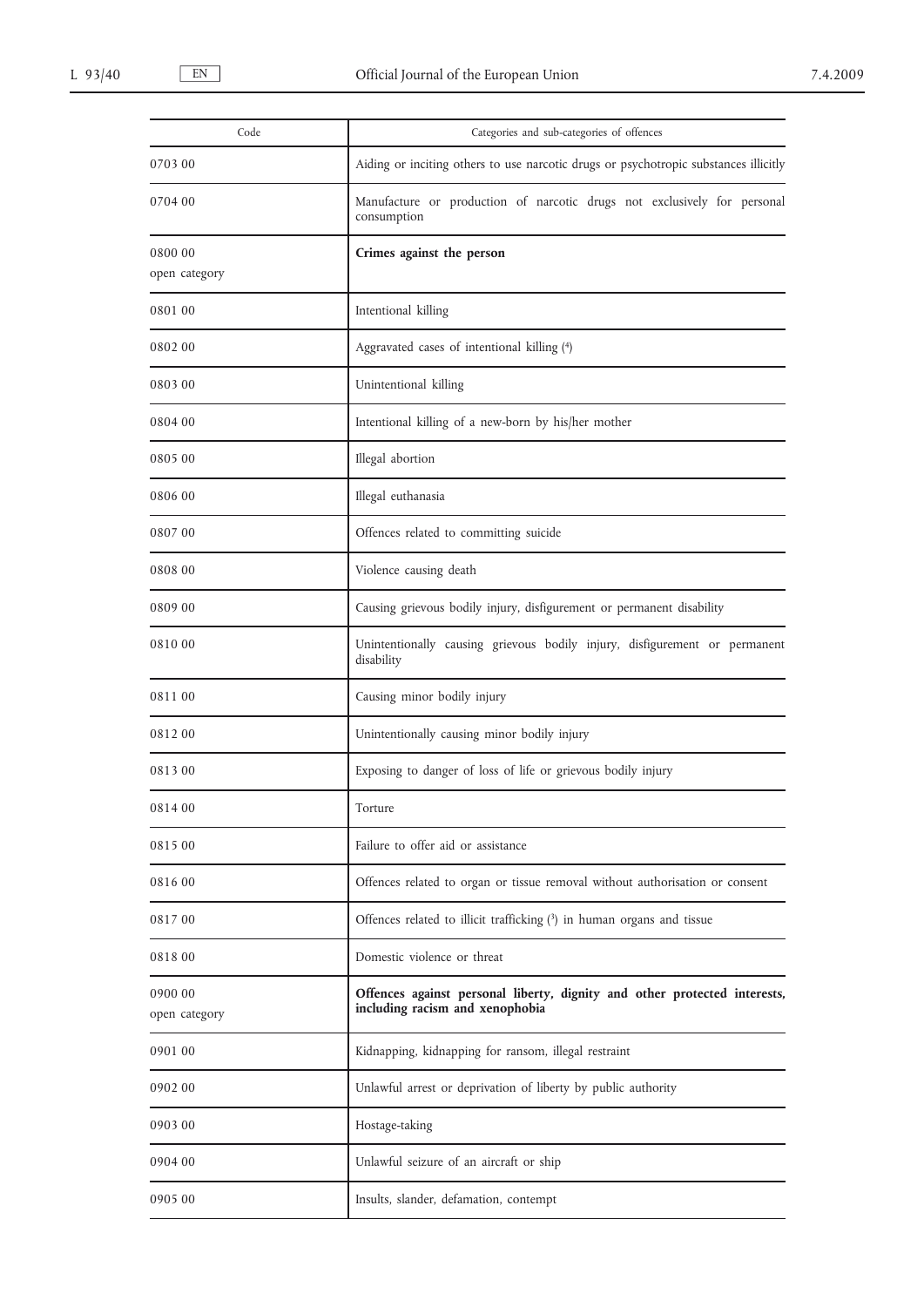| Code                     | Categories and sub-categories of offences                                                                    |
|--------------------------|--------------------------------------------------------------------------------------------------------------|
| 0703 00                  | Aiding or inciting others to use narcotic drugs or psychotropic substances illicitly                         |
| 0704 00                  | Manufacture or production of narcotic drugs not exclusively for personal<br>consumption                      |
| 0800 00<br>open category | Crimes against the person                                                                                    |
| 0801 00                  | Intentional killing                                                                                          |
| 0802 00                  | Aggravated cases of intentional killing (4)                                                                  |
| 0803 00                  | Unintentional killing                                                                                        |
| 0804 00                  | Intentional killing of a new-born by his/her mother                                                          |
| 0805 00                  | Illegal abortion                                                                                             |
| 0806 00                  | Illegal euthanasia                                                                                           |
| 0807 00                  | Offences related to committing suicide                                                                       |
| 0808 00                  | Violence causing death                                                                                       |
| 0809 00                  | Causing grievous bodily injury, disfigurement or permanent disability                                        |
| 0810 00                  | Unintentionally causing grievous bodily injury, disfigurement or permanent<br>disability                     |
| 0811 00                  | Causing minor bodily injury                                                                                  |
| 081200                   | Unintentionally causing minor bodily injury                                                                  |
| 081300                   | Exposing to danger of loss of life or grievous bodily injury                                                 |
| 0814 00                  | Torture                                                                                                      |
| 0815 00                  | Failure to offer aid or assistance                                                                           |
| 0816 00                  | Offences related to organ or tissue removal without authorisation or consent                                 |
| 081700                   | Offences related to illicit trafficking (3) in human organs and tissue                                       |
| 081800                   | Domestic violence or threat                                                                                  |
| 0900 00<br>open category | Offences against personal liberty, dignity and other protected interests,<br>including racism and xenophobia |
| 0901 00                  | Kidnapping, kidnapping for ransom, illegal restraint                                                         |
| 0902 00                  | Unlawful arrest or deprivation of liberty by public authority                                                |
| 0903 00                  | Hostage-taking                                                                                               |
| 0904 00                  | Unlawful seizure of an aircraft or ship                                                                      |
| 0905 00                  | Insults, slander, defamation, contempt                                                                       |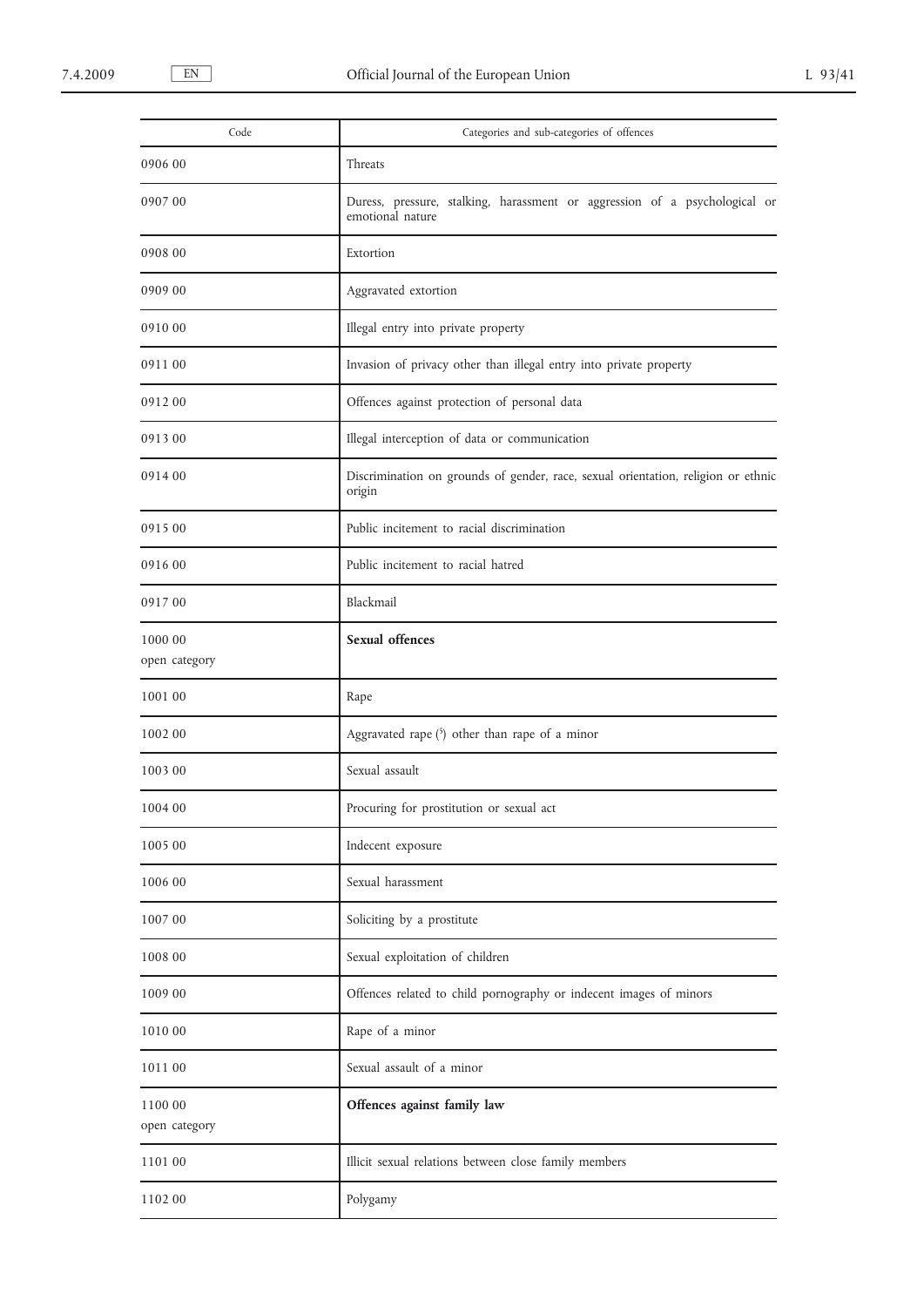| Code                     | Categories and sub-categories of offences                                                      |
|--------------------------|------------------------------------------------------------------------------------------------|
| 0906 00                  | Threats                                                                                        |
| 0907 00                  | Duress, pressure, stalking, harassment or aggression of a psychological or<br>emotional nature |
| 0908 00                  | Extortion                                                                                      |
| 0909 00                  | Aggravated extortion                                                                           |
| 0910 00                  | Illegal entry into private property                                                            |
| 0911 00                  | Invasion of privacy other than illegal entry into private property                             |
| 0912 00                  | Offences against protection of personal data                                                   |
| 0913 00                  | Illegal interception of data or communication                                                  |
| 0914 00                  | Discrimination on grounds of gender, race, sexual orientation, religion or ethnic<br>origin    |
| 0915 00                  | Public incitement to racial discrimination                                                     |
| 0916 00                  | Public incitement to racial hatred                                                             |
| 091700                   | Blackmail                                                                                      |
| 1000 00<br>open category | Sexual offences                                                                                |
| 1001 00                  | Rape                                                                                           |
| 1002 00                  | Aggravated rape $(5)$ other than rape of a minor                                               |
| 1003 00                  | Sexual assault                                                                                 |
| 1004 00                  | Procuring for prostitution or sexual act                                                       |
| 1005 00                  | Indecent exposure                                                                              |
| 1006 00                  | Sexual harassment                                                                              |
| 1007 00                  | Soliciting by a prostitute                                                                     |
| 1008 00                  | Sexual exploitation of children                                                                |
| 1009 00                  | Offences related to child pornography or indecent images of minors                             |
| 1010 00                  | Rape of a minor                                                                                |
| 1011 00                  | Sexual assault of a minor                                                                      |
| 1100 00<br>open category | Offences against family law                                                                    |
| 1101 00                  | Illicit sexual relations between close family members                                          |
| 1102 00                  | Polygamy                                                                                       |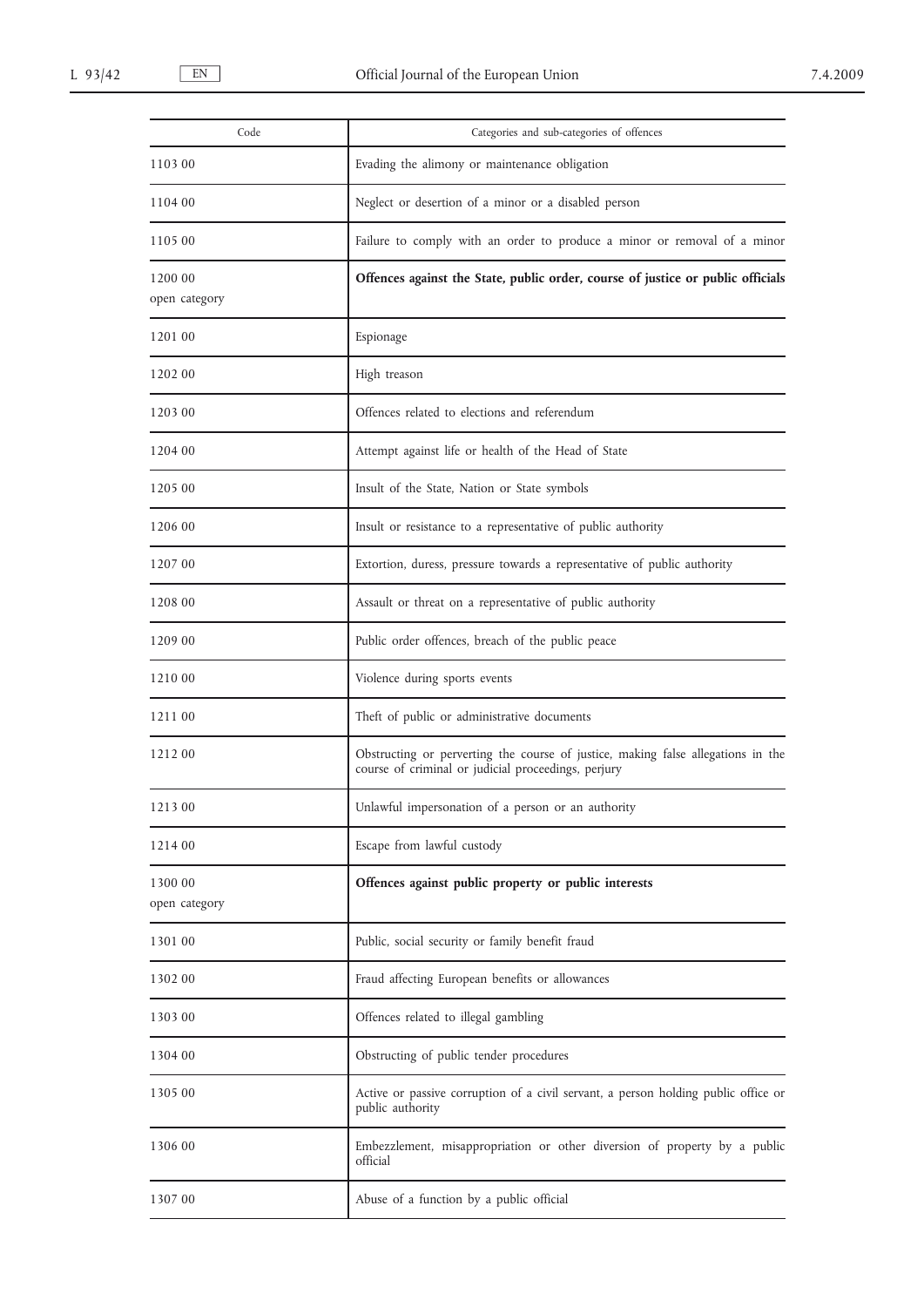| Code                     | Categories and sub-categories of offences                                                                                               |
|--------------------------|-----------------------------------------------------------------------------------------------------------------------------------------|
| 1103 00                  | Evading the alimony or maintenance obligation                                                                                           |
| 1104 00                  | Neglect or desertion of a minor or a disabled person                                                                                    |
| 1105 00                  | Failure to comply with an order to produce a minor or removal of a minor                                                                |
| 1200 00<br>open category | Offences against the State, public order, course of justice or public officials                                                         |
| 1201 00                  | Espionage                                                                                                                               |
| 1202 00                  | High treason                                                                                                                            |
| 1203 00                  | Offences related to elections and referendum                                                                                            |
| 1204 00                  | Attempt against life or health of the Head of State                                                                                     |
| 1205 00                  | Insult of the State, Nation or State symbols                                                                                            |
| 1206 00                  | Insult or resistance to a representative of public authority                                                                            |
| 1207 00                  | Extortion, duress, pressure towards a representative of public authority                                                                |
| 1208 00                  | Assault or threat on a representative of public authority                                                                               |
| 1209 00                  | Public order offences, breach of the public peace                                                                                       |
| 1210 00                  | Violence during sports events                                                                                                           |
| 1211 00                  | Theft of public or administrative documents                                                                                             |
| 1212 00                  | Obstructing or perverting the course of justice, making false allegations in the<br>course of criminal or judicial proceedings, perjury |
| 1213 00                  | Unlawful impersonation of a person or an authority                                                                                      |
| 1214 00                  | Escape from lawful custody                                                                                                              |
| 1300 00<br>open category | Offences against public property or public interests                                                                                    |
| 1301 00                  | Public, social security or family benefit fraud                                                                                         |
| 1302 00                  | Fraud affecting European benefits or allowances                                                                                         |
| 1303 00                  | Offences related to illegal gambling                                                                                                    |
| 1304 00                  | Obstructing of public tender procedures                                                                                                 |
| 1305 00                  | Active or passive corruption of a civil servant, a person holding public office or<br>public authority                                  |
| 1306 00                  | Embezzlement, misappropriation or other diversion of property by a public<br>official                                                   |
| 1307 00                  | Abuse of a function by a public official                                                                                                |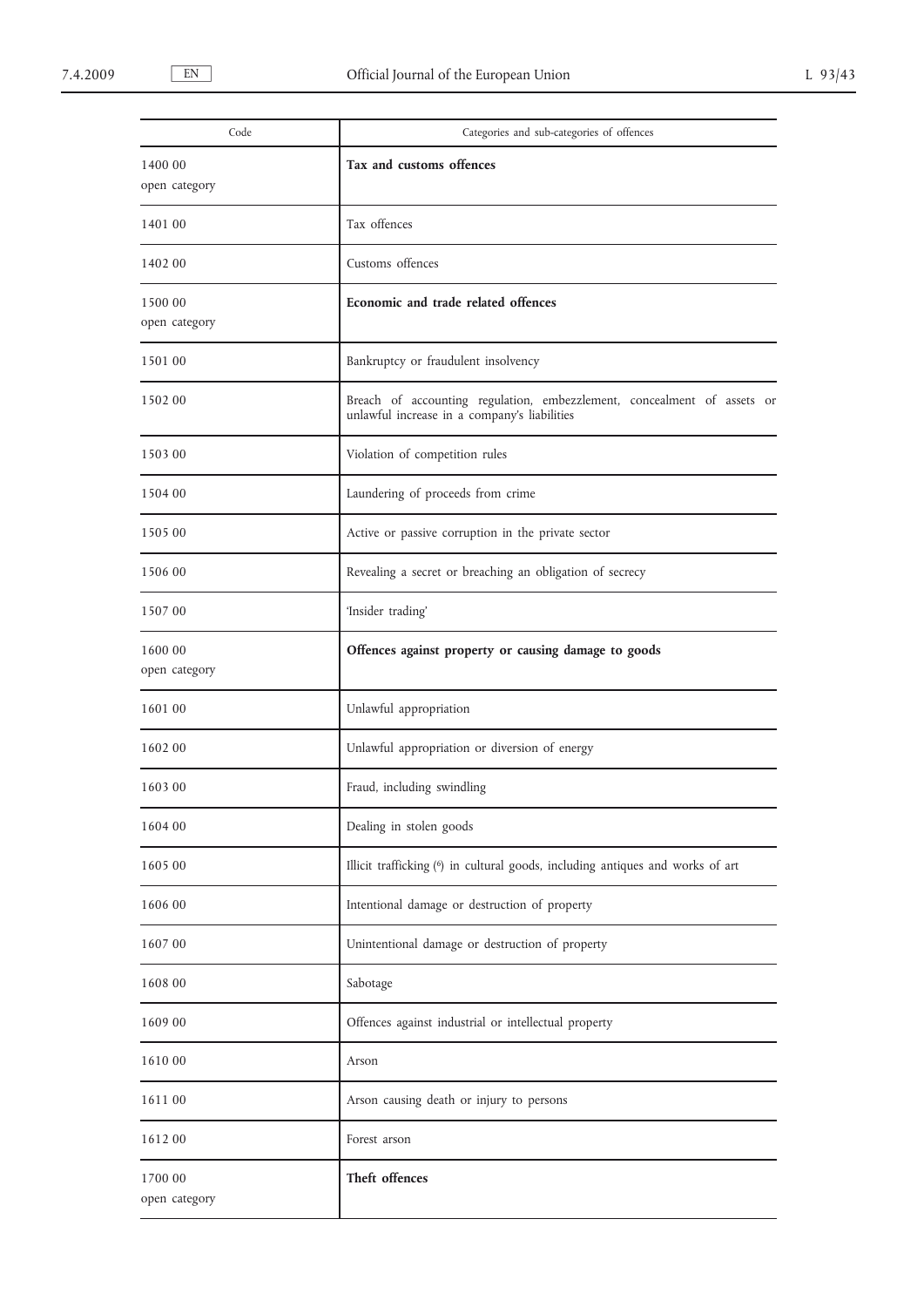| Code                     | Categories and sub-categories of offences                                                                               |
|--------------------------|-------------------------------------------------------------------------------------------------------------------------|
| 1400 00<br>open category | Tax and customs offences                                                                                                |
| 1401 00                  | Tax offences                                                                                                            |
| 1402 00                  | Customs offences                                                                                                        |
| 1500 00<br>open category | Economic and trade related offences                                                                                     |
| 1501 00                  | Bankruptcy or fraudulent insolvency                                                                                     |
| 1502 00                  | Breach of accounting regulation, embezzlement, concealment of assets or<br>unlawful increase in a company's liabilities |
| 1503 00                  | Violation of competition rules                                                                                          |
| 1504 00                  | Laundering of proceeds from crime                                                                                       |
| 1505 00                  | Active or passive corruption in the private sector                                                                      |
| 1506 00                  | Revealing a secret or breaching an obligation of secrecy                                                                |
| 1507 00                  | 'Insider trading'                                                                                                       |
| 1600 00<br>open category | Offences against property or causing damage to goods                                                                    |
| 1601 00                  | Unlawful appropriation                                                                                                  |
| 1602 00                  | Unlawful appropriation or diversion of energy                                                                           |
| 1603 00                  | Fraud, including swindling                                                                                              |
| 1604 00                  | Dealing in stolen goods                                                                                                 |
| 1605 00                  | Illicit trafficking (6) in cultural goods, including antiques and works of art                                          |
| 1606 00                  | Intentional damage or destruction of property                                                                           |
| 1607 00                  | Unintentional damage or destruction of property                                                                         |
| 1608 00                  | Sabotage                                                                                                                |
| 1609 00                  | Offences against industrial or intellectual property                                                                    |
| 1610 00                  | Arson                                                                                                                   |
| 1611 00                  | Arson causing death or injury to persons                                                                                |
| 161200                   | Forest arson                                                                                                            |
| 1700 00<br>open category | Theft offences                                                                                                          |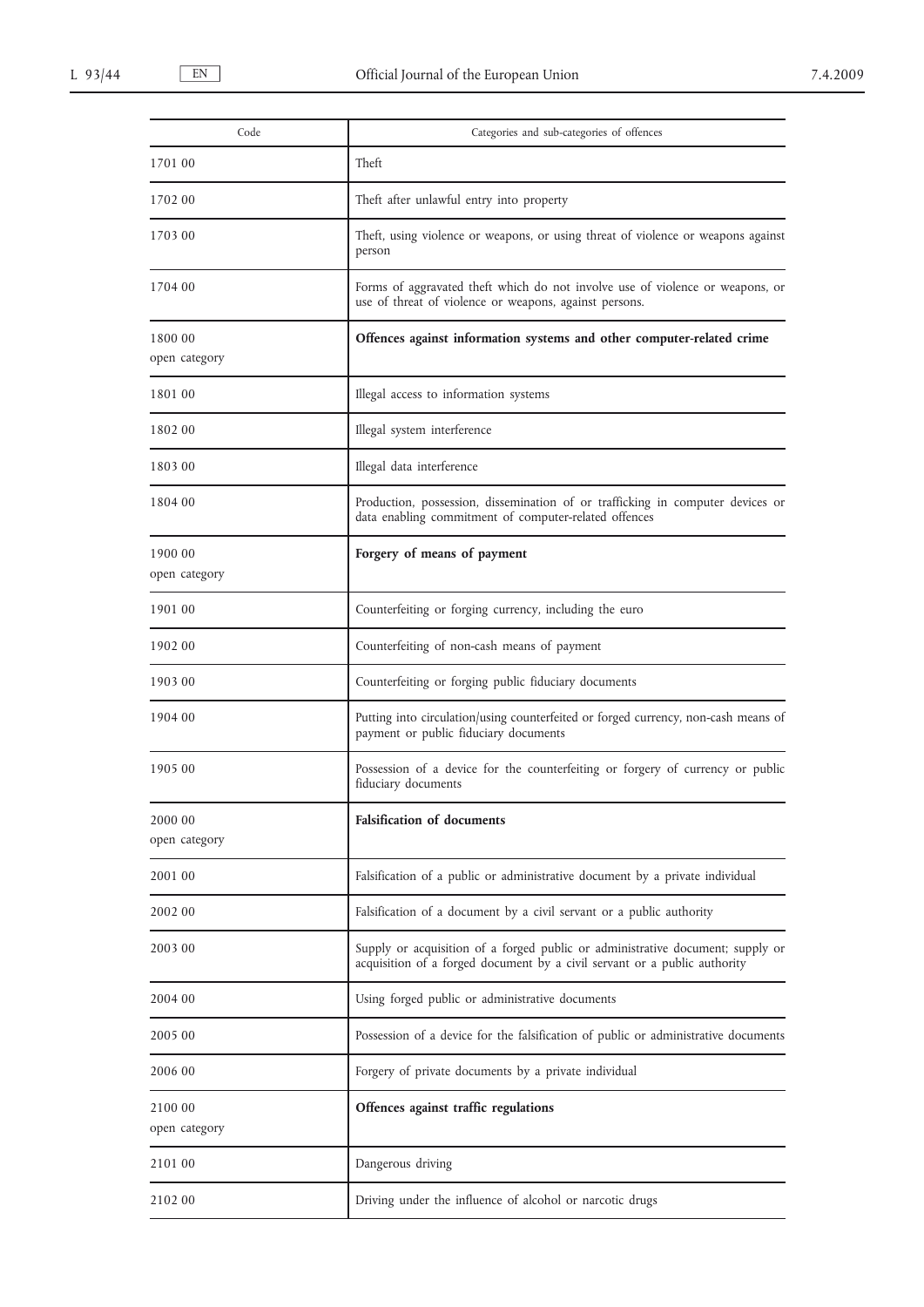| Code                     | Categories and sub-categories of offences                                                                                                                   |
|--------------------------|-------------------------------------------------------------------------------------------------------------------------------------------------------------|
| 1701 00                  | Theft                                                                                                                                                       |
| 1702 00                  | Theft after unlawful entry into property                                                                                                                    |
| 1703 00                  | Theft, using violence or weapons, or using threat of violence or weapons against<br>person                                                                  |
| 1704 00                  | Forms of aggravated theft which do not involve use of violence or weapons, or<br>use of threat of violence or weapons, against persons.                     |
| 1800 00<br>open category | Offences against information systems and other computer-related crime                                                                                       |
| 1801 00                  | Illegal access to information systems                                                                                                                       |
| 1802 00                  | Illegal system interference                                                                                                                                 |
| 1803 00                  | Illegal data interference                                                                                                                                   |
| 1804 00                  | Production, possession, dissemination of or trafficking in computer devices or<br>data enabling commitment of computer-related offences                     |
| 1900 00<br>open category | Forgery of means of payment                                                                                                                                 |
| 1901 00                  | Counterfeiting or forging currency, including the euro                                                                                                      |
| 1902 00                  | Counterfeiting of non-cash means of payment                                                                                                                 |
| 1903 00                  | Counterfeiting or forging public fiduciary documents                                                                                                        |
| 1904 00                  | Putting into circulation/using counterfeited or forged currency, non-cash means of<br>payment or public fiduciary documents                                 |
| 1905 00                  | Possession of a device for the counterfeiting or forgery of currency or public<br>fiduciary documents                                                       |
| 2000 00<br>open category | <b>Falsification of documents</b>                                                                                                                           |
| 2001 00                  | Falsification of a public or administrative document by a private individual                                                                                |
| 2002 00                  | Falsification of a document by a civil servant or a public authority                                                                                        |
| 2003 00                  | Supply or acquisition of a forged public or administrative document; supply or<br>acquisition of a forged document by a civil servant or a public authority |
| 2004 00                  | Using forged public or administrative documents                                                                                                             |
| 2005 00                  | Possession of a device for the falsification of public or administrative documents                                                                          |
| 2006 00                  | Forgery of private documents by a private individual                                                                                                        |
| 2100 00<br>open category | Offences against traffic regulations                                                                                                                        |
| 2101 00                  | Dangerous driving                                                                                                                                           |
| 2102 00                  | Driving under the influence of alcohol or narcotic drugs                                                                                                    |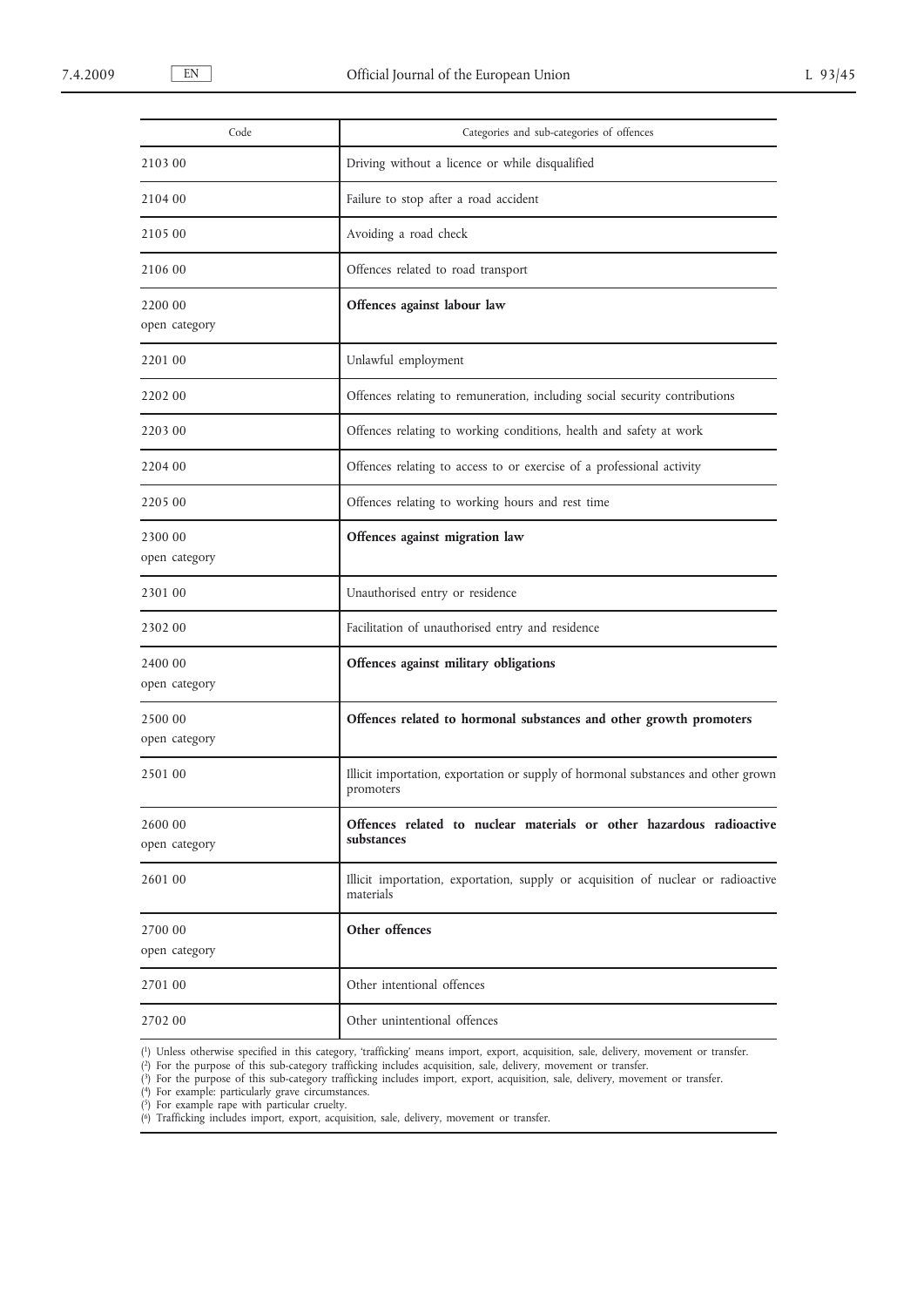| Code                     | Categories and sub-categories of offences                                                      |
|--------------------------|------------------------------------------------------------------------------------------------|
| 2103 00                  | Driving without a licence or while disqualified                                                |
| 2104 00                  | Failure to stop after a road accident                                                          |
| 2105 00                  | Avoiding a road check                                                                          |
| 2106 00                  | Offences related to road transport                                                             |
| 2200 00<br>open category | Offences against labour law                                                                    |
| 2201 00                  | Unlawful employment                                                                            |
| 2202 00                  | Offences relating to remuneration, including social security contributions                     |
| 2203 00                  | Offences relating to working conditions, health and safety at work                             |
| 2204 00                  | Offences relating to access to or exercise of a professional activity                          |
| 2205 00                  | Offences relating to working hours and rest time                                               |
| 2300 00<br>open category | Offences against migration law                                                                 |
| 2301 00                  | Unauthorised entry or residence                                                                |
| 2302 00                  | Facilitation of unauthorised entry and residence                                               |
| 2400 00<br>open category | Offences against military obligations                                                          |
| 2500 00<br>open category | Offences related to hormonal substances and other growth promoters                             |
| 2501 00                  | Illicit importation, exportation or supply of hormonal substances and other grown<br>promoters |
| 2600 00<br>open category | Offences related to nuclear materials or other hazardous radioactive<br>substances             |
| 2601 00                  | Illicit importation, exportation, supply or acquisition of nuclear or radioactive<br>materials |
| 2700 00<br>open category | Other offences                                                                                 |
| 2701 00                  | Other intentional offences                                                                     |
| 2702 00                  | Other unintentional offences                                                                   |
|                          |                                                                                                |

( 1) Unless otherwise specified in this category, 'trafficking' means import, export, acquisition, sale, delivery, movement or transfer.

( 2) For the purpose of this sub-category trafficking includes acquisition, sale, delivery, movement or transfer.

( 3) For the purpose of this sub-category trafficking includes import, export, acquisition, sale, delivery, movement or transfer.

( 4) For example: particularly grave circumstances.

( 5) For example rape with particular cruelty.

( 6) Trafficking includes import, export, acquisition, sale, delivery, movement or transfer.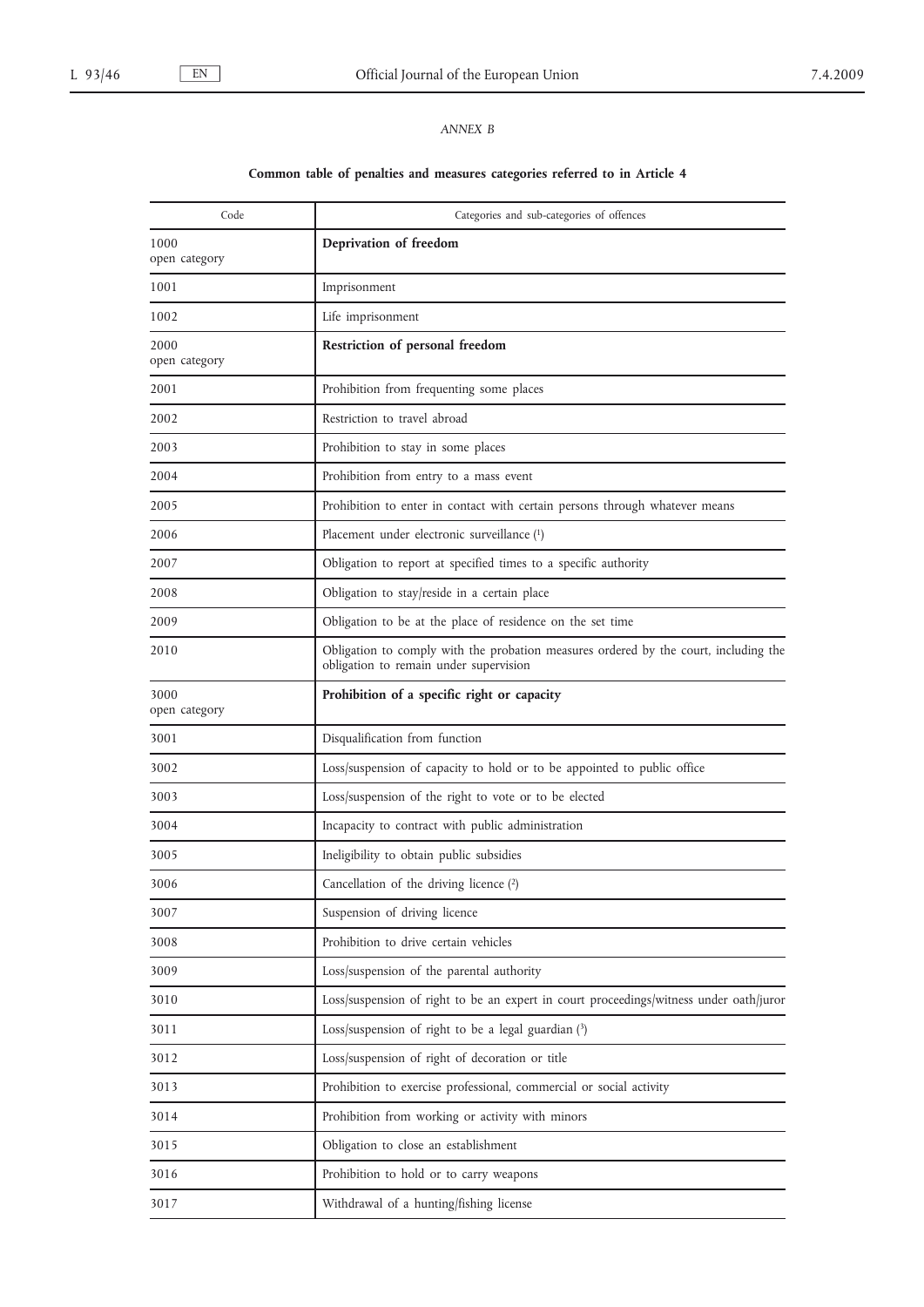# *ANNEX B*

# **Common table of penalties and measures categories referred to in Article 4**

| Code                  | Categories and sub-categories of offences                                                                                      |
|-----------------------|--------------------------------------------------------------------------------------------------------------------------------|
| 1000<br>open category | Deprivation of freedom                                                                                                         |
| 1001                  | Imprisonment                                                                                                                   |
| 1002                  | Life imprisonment                                                                                                              |
| 2000<br>open category | Restriction of personal freedom                                                                                                |
| 2001                  | Prohibition from frequenting some places                                                                                       |
| 2002                  | Restriction to travel abroad                                                                                                   |
| 2003                  | Prohibition to stay in some places                                                                                             |
| 2004                  | Prohibition from entry to a mass event                                                                                         |
| 2005                  | Prohibition to enter in contact with certain persons through whatever means                                                    |
| 2006                  | Placement under electronic surveillance (1)                                                                                    |
| 2007                  | Obligation to report at specified times to a specific authority                                                                |
| 2008                  | Obligation to stay/reside in a certain place                                                                                   |
| 2009                  | Obligation to be at the place of residence on the set time                                                                     |
| 2010                  | Obligation to comply with the probation measures ordered by the court, including the<br>obligation to remain under supervision |
| 3000<br>open category | Prohibition of a specific right or capacity                                                                                    |
| 3001                  | Disqualification from function                                                                                                 |
| 3002                  | Loss/suspension of capacity to hold or to be appointed to public office                                                        |
| 3003                  | Loss/suspension of the right to vote or to be elected                                                                          |
| 3004                  | Incapacity to contract with public administration                                                                              |
| 3005                  | Ineligibility to obtain public subsidies                                                                                       |
| 3006                  | Cancellation of the driving licence $(2)$                                                                                      |
| 3007                  | Suspension of driving licence                                                                                                  |
| 3008                  | Prohibition to drive certain vehicles                                                                                          |
| 3009                  | Loss/suspension of the parental authority                                                                                      |
| 3010                  | Loss/suspension of right to be an expert in court proceedings/witness under oath/juror                                         |
| 3011                  | Loss/suspension of right to be a legal guardian (3)                                                                            |
| 3012                  | Loss/suspension of right of decoration or title                                                                                |
| 3013                  | Prohibition to exercise professional, commercial or social activity                                                            |
| 3014                  | Prohibition from working or activity with minors                                                                               |
| 3015                  | Obligation to close an establishment                                                                                           |
| 3016                  | Prohibition to hold or to carry weapons                                                                                        |
| 3017                  | Withdrawal of a hunting/fishing license                                                                                        |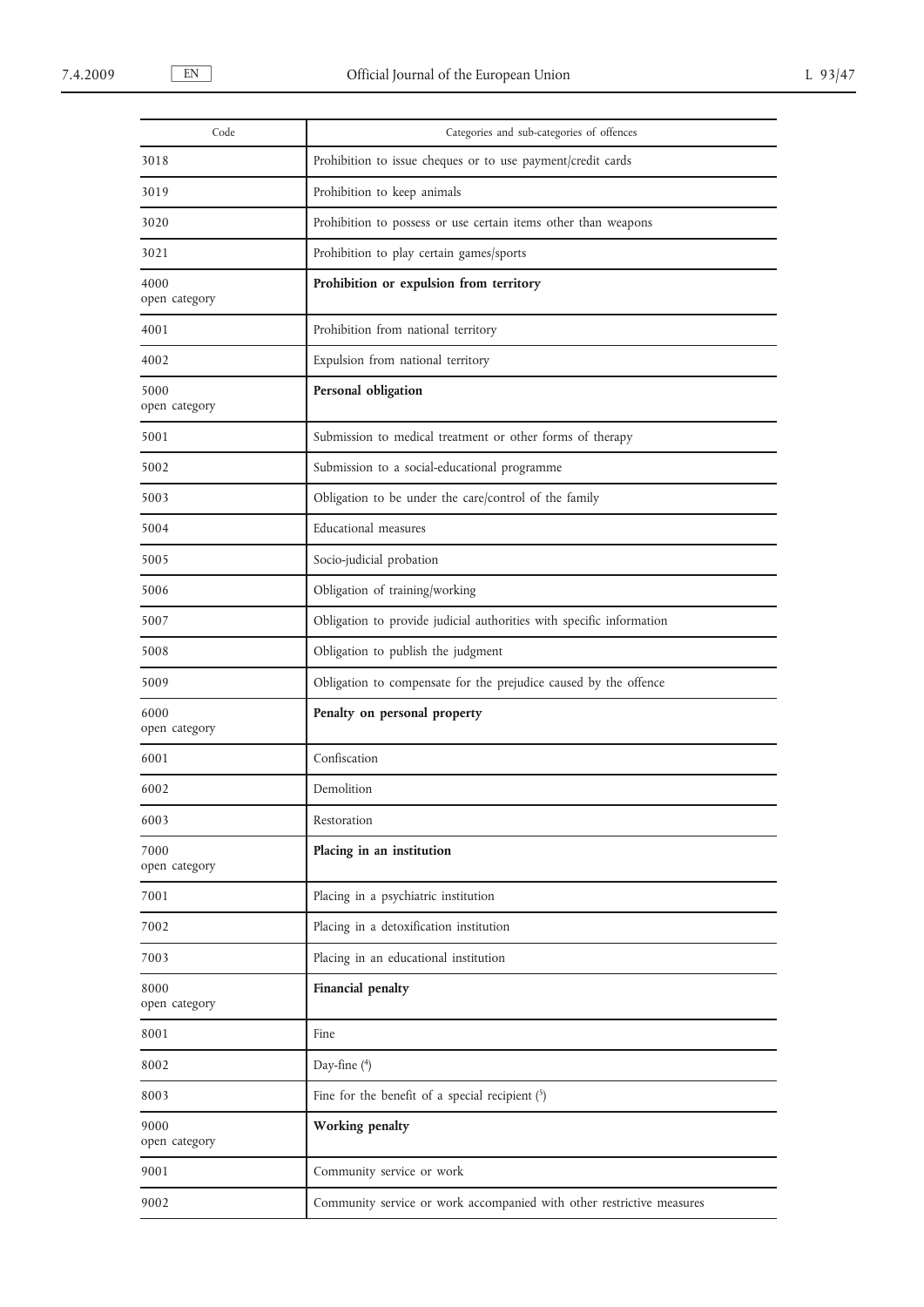| Code                  | Categories and sub-categories of offences                             |
|-----------------------|-----------------------------------------------------------------------|
| 3018                  | Prohibition to issue cheques or to use payment/credit cards           |
| 3019                  | Prohibition to keep animals                                           |
| 3020                  | Prohibition to possess or use certain items other than weapons        |
| 3021                  | Prohibition to play certain games/sports                              |
| 4000<br>open category | Prohibition or expulsion from territory                               |
| 4001                  | Prohibition from national territory                                   |
| 4002                  | Expulsion from national territory                                     |
| 5000<br>open category | Personal obligation                                                   |
| 5001                  | Submission to medical treatment or other forms of therapy             |
| 5002                  | Submission to a social-educational programme                          |
| 5003                  | Obligation to be under the care/control of the family                 |
| 5004                  | Educational measures                                                  |
| 5005                  | Socio-judicial probation                                              |
| 5006                  | Obligation of training/working                                        |
| 5007                  | Obligation to provide judicial authorities with specific information  |
| 5008                  | Obligation to publish the judgment                                    |
| 5009                  | Obligation to compensate for the prejudice caused by the offence      |
| 6000<br>open category | Penalty on personal property                                          |
| 6001                  | Confiscation                                                          |
| 6002                  | Demolition                                                            |
| 6003                  | Restoration                                                           |
| 7000<br>open category | Placing in an institution                                             |
| 7001                  | Placing in a psychiatric institution                                  |
| 7002                  | Placing in a detoxification institution                               |
| 7003                  | Placing in an educational institution                                 |
| 8000<br>open category | Financial penalty                                                     |
| 8001                  | Fine                                                                  |
| 8002                  | Day-fine (4)                                                          |
| 8003                  | Fine for the benefit of a special recipient $(5)$                     |
| 9000<br>open category | Working penalty                                                       |
| 9001                  | Community service or work                                             |
| 9002                  | Community service or work accompanied with other restrictive measures |